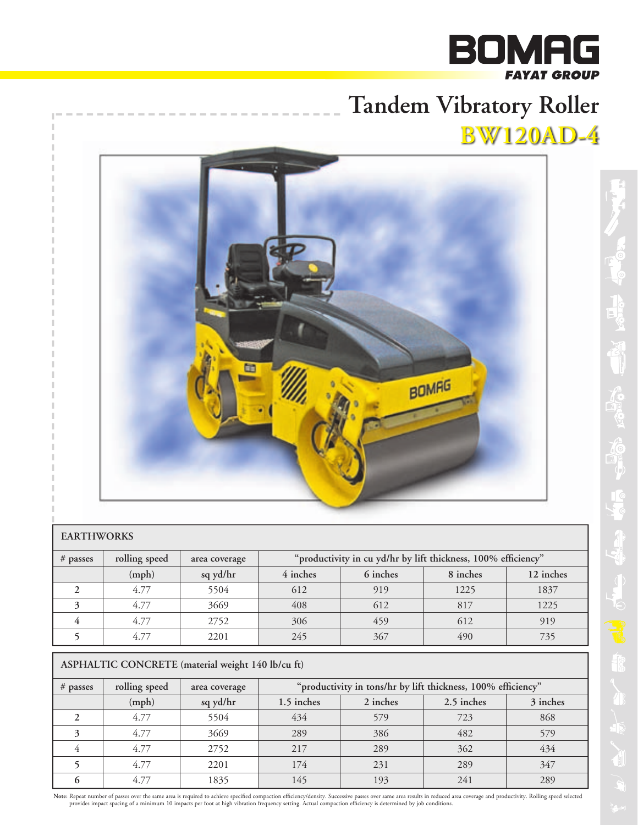# **BOMAG YAT GROUP**

# **Tandem Vibratory Roller BW120AD-4**



#### **EARTHWORKS**

| $#$ passes | rolling speed | area coverage | "productivity in cu yd/hr by lift thickness, 100% efficiency" |          |          |           |
|------------|---------------|---------------|---------------------------------------------------------------|----------|----------|-----------|
|            | (mph)         | sq yd/hr      | 4 inches                                                      | 6 inches | 8 inches | 12 inches |
|            | 4.77          | 5504          | 612                                                           | 919      | 1225     | 1837      |
|            | 4.77          | 3669          | 408                                                           | 612      | 817      | 1225      |
|            | 4.77          | 2752          | 306                                                           | 459      | 612      | 919       |
|            | 4.77          | 2201          | 245                                                           | 367      | 490      | 735       |

## **ASPHALTIC CONCRETE (material weight 140 lb/cu ft)**

| $#$ passes | rolling speed | area coverage | "productivity in tons/hr by lift thickness, 100% efficiency" |          |            |          |
|------------|---------------|---------------|--------------------------------------------------------------|----------|------------|----------|
|            | (mph)         | sq yd/hr      | 1.5 inches                                                   | 2 inches | 2.5 inches | 3 inches |
|            | 4.77          | 5504          | 434                                                          | 579      | 723        | 868      |
|            | 4.77          | 3669          | 289                                                          | 386      | 482        | 579      |
|            | 4.77          | 2752          | 217                                                          | 289      | 362        | 434      |
|            | 4.77          | 2201          | 174                                                          | 231      | 289        | 347      |
|            | 4.77          | 1835          | 145                                                          | 193      | 241        | 289      |

Note: Repeat number of passes over the same area is required to achieve specified compaction efficiency/density. Successive passes over same area results in reduced area coverage and productivity. Rolling speed selected pr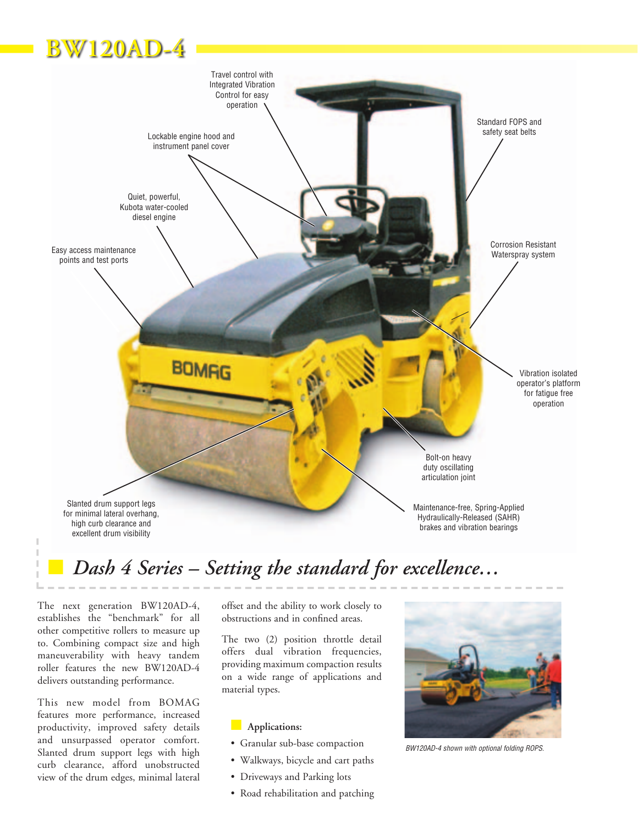# **BW120AD-4**



# Dash 4 Series – Setting the standard for excellence...

The next generation BW120AD-4, establishes the "benchmark" for all other competitive rollers to measure up to. Combining compact size and high maneuverability with heavy tandem roller features the new BW120AD-4 delivers outstanding performance.

This new model from BOMAG features more performance, increased productivity, improved safety details and unsurpassed operator comfort. Slanted drum support legs with high curb clearance, afford unobstructed view of the drum edges, minimal lateral offset and the ability to work closely to obstructions and in confined areas.

The two (2) position throttle detail offers dual vibration frequencies, providing maximum compaction results on a wide range of applications and material types.

#### n **Applications:**

- Granular sub-base compaction
- Walkways, bicycle and cart paths
- Driveways and Parking lots
- Road rehabilitation and patching

![](_page_1_Picture_12.jpeg)

*BW120AD-4 shown with optional folding ROPS.*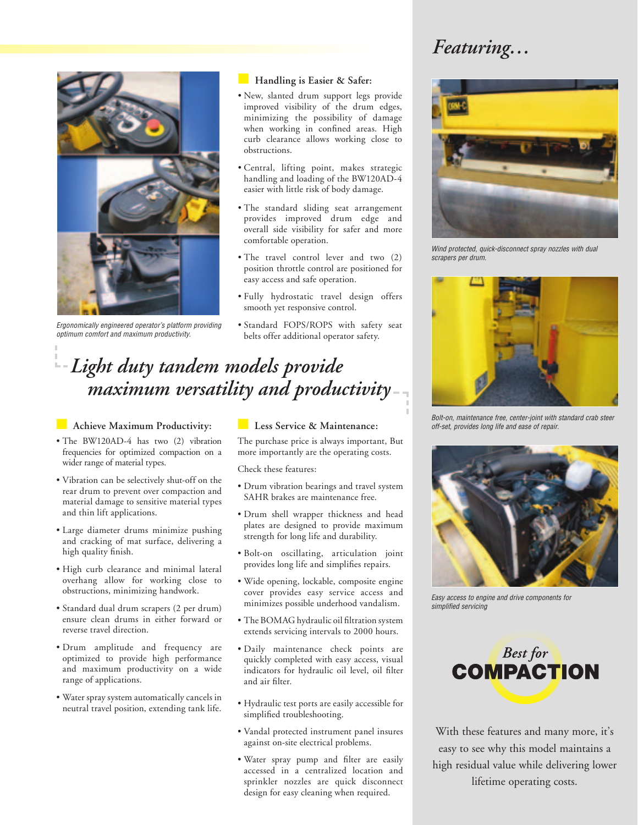# *Featuring…*

![](_page_2_Picture_1.jpeg)

*Ergonomically engineered operator's platform providing optimum comfort and maximum productivity.*

#### **Handling is Easier & Safer:**

- New, slanted drum support legs provide improved visibility of the drum edges, minimizing the possibility of damage when working in confined areas. High curb clearance allows working close to obstructions.
- Central, lifting point, makes strategic handling and loading of the BW120AD-4 easier with little risk of body damage.
- The standard sliding seat arrangement provides improved drum edge and overall side visibility for safer and more comfortable operation.
- The travel control lever and two (2) position throttle control are positioned for easy access and safe operation.
- Fully hydrostatic travel design offers smooth yet responsive control.
- Standard FOPS/ROPS with safety seat belts offer additional operator safety.

# *Light duty tandem models provide maximum versatility and productivity*

#### **n** Achieve Maximum Productivity:

- The BW120AD-4 has two (2) vibration frequencies for optimized compaction on a wider range of material types.
- Vibration can be selectively shut-off on the rear drum to prevent over compaction and material damage to sensitive material types and thin lift applications.
- Large diameter drums minimize pushing and cracking of mat surface, delivering a high quality finish.
- High curb clearance and minimal lateral overhang allow for working close to obstructions, minimizing handwork.
- Standard dual drum scrapers (2 per drum) ensure clean drums in either forward or reverse travel direction.
- Drum amplitude and frequency are optimized to provide high performance and maximum productivity on a wide range of applications.
- Water spray system automatically cancels in neutral travel position, extending tank life.

### **n** Less Service & Maintenance:

The purchase price is always important, But more importantly are the operating costs.

Check these features:

- Drum vibration bearings and travel system SAHR brakes are maintenance free.
- Drum shell wrapper thickness and head plates are designed to provide maximum strength for long life and durability.
- Bolt-on oscillating, articulation joint provides long life and simplifies repairs.
- Wide opening, lockable, composite engine cover provides easy service access and minimizes possible underhood vandalism.
- The BOMAG hydraulic oil filtration system extends servicing intervals to 2000 hours.
- Daily maintenance check points are quickly completed with easy access, visual indicators for hydraulic oil level, oil filter and air filter.
- Hydraulic test ports are easily accessible for simplified troubleshooting.
- Vandal protected instrument panel insures against on-site electrical problems.
- Water spray pump and filter are easily accessed in a centralized location and sprinkler nozzles are quick disconnect design for easy cleaning when required.

![](_page_2_Picture_31.jpeg)

*Wind protected, quick-disconnect spray nozzles with dual scrapers per drum.*

![](_page_2_Figure_33.jpeg)

*Bolt-on, maintenance free, center-joint with standard crab steer off-set, provides long life and ease of repair.*

![](_page_2_Picture_35.jpeg)

*Easy access to engine and drive components for simplified servicing*

![](_page_2_Picture_37.jpeg)

With these features and many more, it's easy to see why this model maintains a high residual value while delivering lower lifetime operating costs.